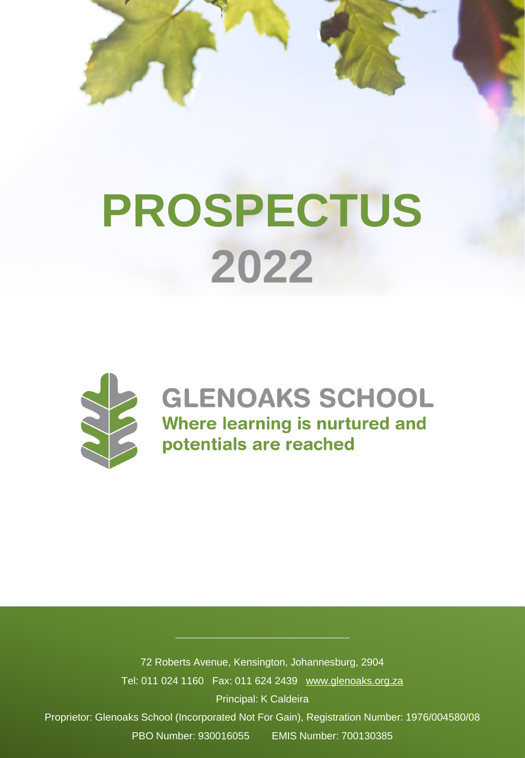



### **GLENOAKS SCHOOL** Where learning is nurtured and potentials are reached

72 Roberts Avenue, Kensington, Johannesburg, 2904 Tel: 011 024 1160 Fax: 011 624 2439 [www.glenoaks.org.za](http://www.glenoaks.org.za/) Principal: K Caldeira Proprietor: Glenoaks School (Incorporated Not For Gain), Registration Number: 1976/004580/08

PBO Number: 930016055 EMIS Number: 700130385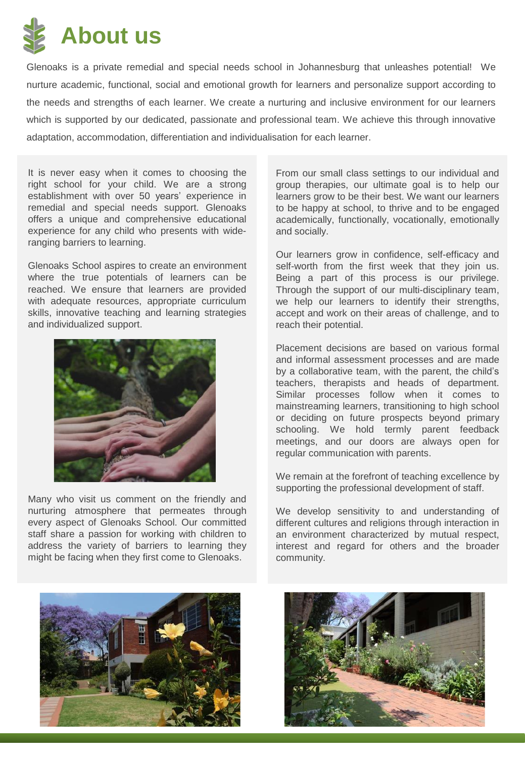

Glenoaks is a private remedial and special needs school in Johannesburg that unleashes potential! We nurture academic, functional, social and emotional growth for learners and personalize support according to the needs and strengths of each learner. We create a nurturing and inclusive environment for our learners which is supported by our dedicated, passionate and professional team. We achieve this through innovative adaptation, accommodation, differentiation and individualisation for each learner.

It is never easy when it comes to choosing the right school for your child. We are a strong establishment with over 50 years' experience in remedial and special needs support. Glenoaks offers a unique and comprehensive educational experience for any child who presents with wideranging barriers to learning.

Glenoaks School aspires to create an environment where the true potentials of learners can be reached. We ensure that learners are provided with adequate resources, appropriate curriculum skills, innovative teaching and learning strategies and individualized support.



Many who visit us comment on the friendly and nurturing atmosphere that permeates through every aspect of Glenoaks School. Our committed staff share a passion for working with children to address the variety of barriers to learning they might be facing when they first come to Glenoaks.

From our small class settings to our individual and group therapies, our ultimate goal is to help our learners grow to be their best. We want our learners to be happy at school, to thrive and to be engaged academically, functionally, vocationally, emotionally and socially.

Our learners grow in confidence, self-efficacy and self-worth from the first week that they join us. Being a part of this process is our privilege. Through the support of our multi-disciplinary team, we help our learners to identify their strengths, accept and work on their areas of challenge, and to reach their potential.

Placement decisions are based on various formal and informal assessment processes and are made by a collaborative team, with the parent, the child's teachers, therapists and heads of department. Similar processes follow when it comes to mainstreaming learners, transitioning to high school or deciding on future prospects beyond primary schooling. We hold termly parent feedback meetings, and our doors are always open for regular communication with parents.

We remain at the forefront of teaching excellence by supporting the professional development of staff.

We develop sensitivity to and understanding of different cultures and religions through interaction in an environment characterized by mutual respect, interest and regard for others and the broader community.



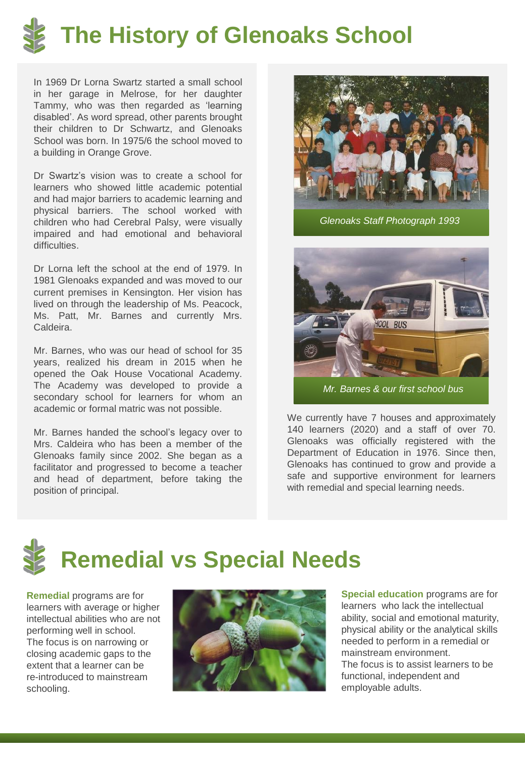

In 1969 Dr Lorna Swartz started a small school in her garage in Melrose, for her daughter Tammy, who was then regarded as 'learning disabled'. As word spread, other parents brought their children to Dr Schwartz, and Glenoaks School was born. In 1975/6 the school moved to a building in Orange Grove.

Dr Swartz's vision was to create a school for learners who showed little academic potential and had major barriers to academic learning and physical barriers. The school worked with children who had Cerebral Palsy, were visually impaired and had emotional and behavioral difficulties.

Dr Lorna left the school at the end of 1979. In 1981 Glenoaks expanded and was moved to our current premises in Kensington. Her vision has lived on through the leadership of Ms. Peacock, Ms. Patt, Mr. Barnes and currently Mrs. Caldeira.

Mr. Barnes, who was our head of school for 35 years, realized his dream in 2015 when he opened the Oak House Vocational Academy. The Academy was developed to provide a secondary school for learners for whom an academic or formal matric was not possible.

Mr. Barnes handed the school's legacy over to Mrs. Caldeira who has been a member of the Glenoaks family since 2002. She began as a facilitator and progressed to become a teacher and head of department, before taking the position of principal.



*Glenoaks Staff Photograph 1993* 



We currently have 7 houses and approximately 140 learners (2020) and a staff of over 70. Glenoaks was officially registered with the Department of Education in 1976. Since then, Glenoaks has continued to grow and provide a safe and supportive environment for learners with remedial and special learning needs.

**Remedial vs Special Needs** 

**Remedial** programs are for learners with average or higher intellectual abilities who are not performing well in school. The focus is on narrowing or closing academic gaps to the extent that a learner can be re-introduced to mainstream schooling.



**Special education** programs are for learners who lack the intellectual ability, social and emotional maturity, physical ability or the analytical skills needed to perform in a remedial or mainstream environment. The focus is to assist learners to be functional, independent and employable adults.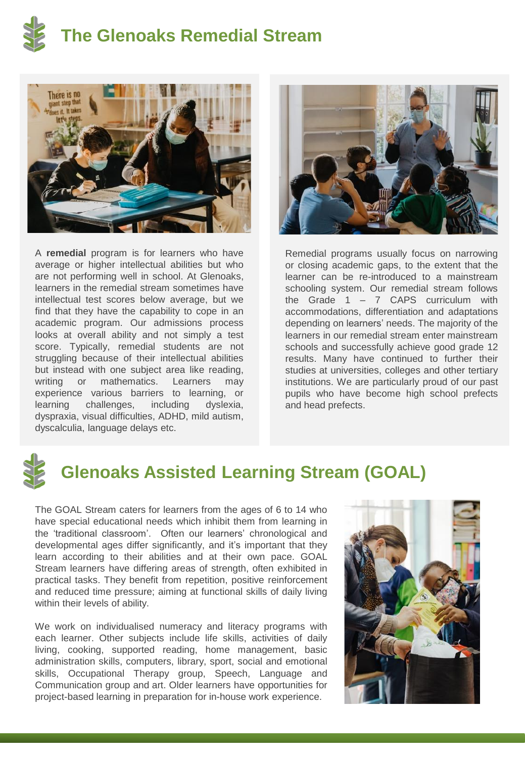



A **remedial** program is for learners who have average or higher intellectual abilities but who are not performing well in school. At Glenoaks, learners in the remedial stream sometimes have intellectual test scores below average, but we find that they have the capability to cope in an academic program. Our admissions process looks at overall ability and not simply a test score. Typically, remedial students are not struggling because of their intellectual abilities but instead with one subject area like reading, writing or mathematics. Learners may experience various barriers to learning, or learning challenges, including dyslexia, dyspraxia, visual difficulties, ADHD, mild autism, dyscalculia, language delays etc.



Remedial programs usually focus on narrowing or closing academic gaps, to the extent that the learner can be re-introduced to a mainstream schooling system. Our remedial stream follows the Grade  $1 - 7$  CAPS curriculum with accommodations, differentiation and adaptations depending on learners' needs. The majority of the learners in our remedial stream enter mainstream schools and successfully achieve good grade 12 results. Many have continued to further their studies at universities, colleges and other tertiary institutions. We are particularly proud of our past pupils who have become high school prefects and head prefects.



#### **Glenoaks Assisted Learning Stream (GOAL)**

The GOAL Stream caters for learners from the ages of 6 to 14 who have special educational needs which inhibit them from learning in the 'traditional classroom'. Often our learners' chronological and developmental ages differ significantly, and it's important that they learn according to their abilities and at their own pace. GOAL Stream learners have differing areas of strength, often exhibited in practical tasks. They benefit from repetition, positive reinforcement and reduced time pressure; aiming at functional skills of daily living within their levels of ability.

We work on individualised numeracy and literacy programs with each learner. Other subjects include life skills, activities of daily living, cooking, supported reading, home management, basic administration skills, computers, library, sport, social and emotional skills, Occupational Therapy group, Speech, Language and Communication group and art. Older learners have opportunities for project-based learning in preparation for in-house work experience.

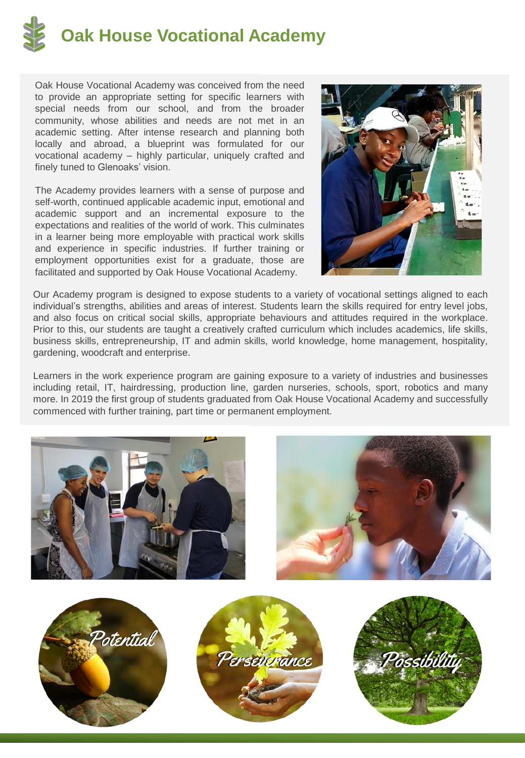

Oak House Vocational Academy was conceived from the need to provide an appropriate setting for specific learners with special needs from our school, and from the broader community, whose abilities and needs are not met in an academic setting. After intense research and planning both locally and abroad, a blueprint was formulated for our vocational academy – highly particular, uniquely crafted and finely tuned to Glenoaks' vision.

The Academy provides learners with a sense of purpose and self-worth, continued applicable academic input, emotional and academic support and an incremental exposure to the expectations and realities of the world of work. This culminates in a learner being more employable with practical work skills and experience in specific industries. If further training or employment opportunities exist for a graduate, those are facilitated and supported by Oak House Vocational Academy.



Our Academy program is designed to expose students to a variety of vocational settings aligned to each individual's strengths, abilities and areas of interest. Students learn the skills required for entry level jobs, and also focus on critical social skills, appropriate behaviours and attitudes required in the workplace. Prior to this, our students are taught a creatively crafted curriculum which includes academics, life skills, business skills, entrepreneurship, IT and admin skills, world knowledge, home management, hospitality, gardening, woodcraft and enterprise.

Learners in the work experience program are gaining exposure to a variety of industries and businesses including retail, IT, hairdressing, production line, garden nurseries, schools, sport, robotics and many more. In 2019 the first group of students graduated from Oak House Vocational Academy and successfully commenced with further training, part time or permanent employment.

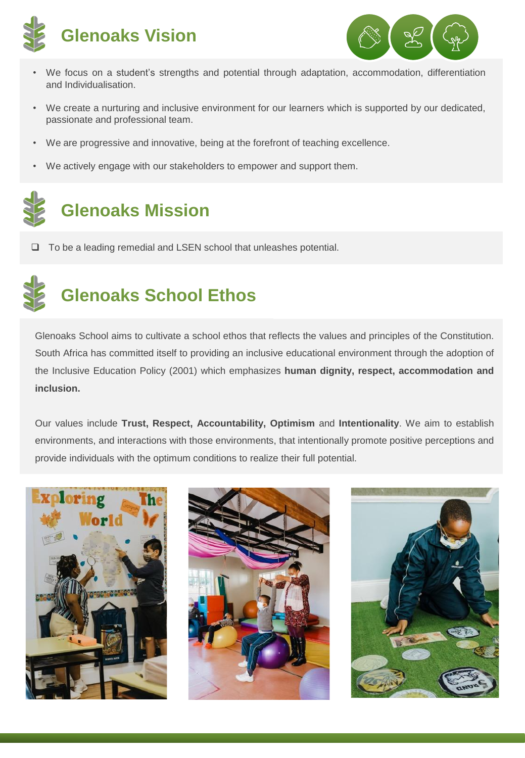



- We focus on a student's strengths and potential through adaptation, accommodation, differentiation and Individualisation.
- We create a nurturing and inclusive environment for our learners which is supported by our dedicated, passionate and professional team.
- We are progressive and innovative, being at the forefront of teaching excellence.
- We actively engage with our stakeholders to empower and support them.

# **Glenoaks Mission**

❑ To be a leading remedial and LSEN school that unleashes potential.

## **Glenoaks School Ethos**

Glenoaks School aims to cultivate a school ethos that reflects the values and principles of the Constitution. South Africa has committed itself to providing an inclusive educational environment through the adoption of the Inclusive Education Policy (2001) which emphasizes **human dignity, respect, accommodation and inclusion.**

Our values include **Trust, Respect, Accountability, Optimism** and **Intentionality**. We aim to establish environments, and interactions with those environments, that intentionally promote positive perceptions and provide individuals with the optimum conditions to realize their full potential.